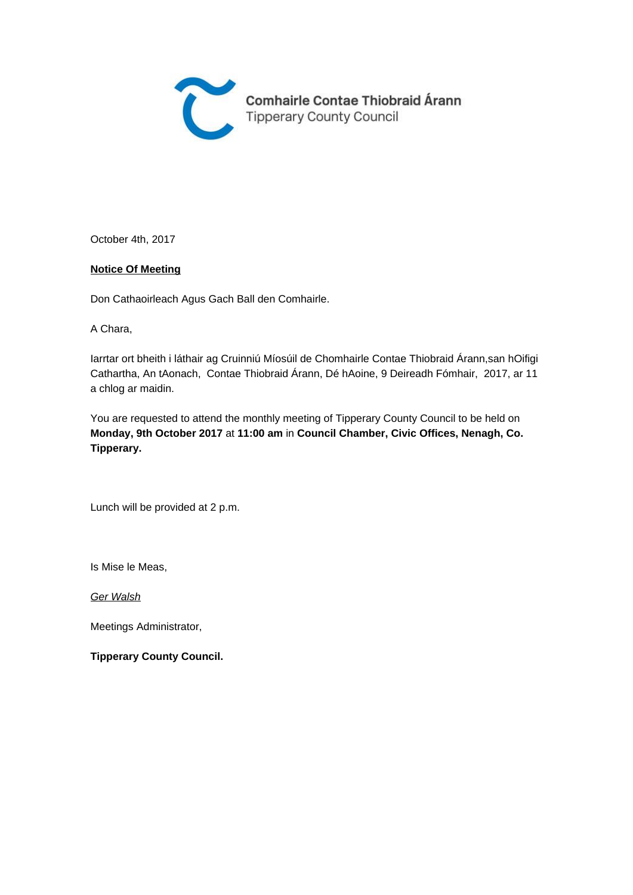

October 4th, 2017

#### **Notice Of Meeting**

Don Cathaoirleach Agus Gach Ball den Comhairle.

A Chara,

Iarrtar ort bheith i láthair ag Cruinniú Míosúil de Chomhairle Contae Thiobraid Árann,san hOifigi Cathartha, An tAonach, Contae Thiobraid Árann, Dé hAoine, 9 Deireadh Fómhair, 2017, ar 11 a chlog ar maidin.

You are requested to attend the monthly meeting of Tipperary County Council to be held on **Monday, 9th October 2017** at **11:00 am** in **Council Chamber, Civic Offices, Nenagh, Co. Tipperary.** 

Lunch will be provided at 2 p.m.

Is Mise le Meas,

Ger Walsh

Meetings Administrator,

**Tipperary County Council.**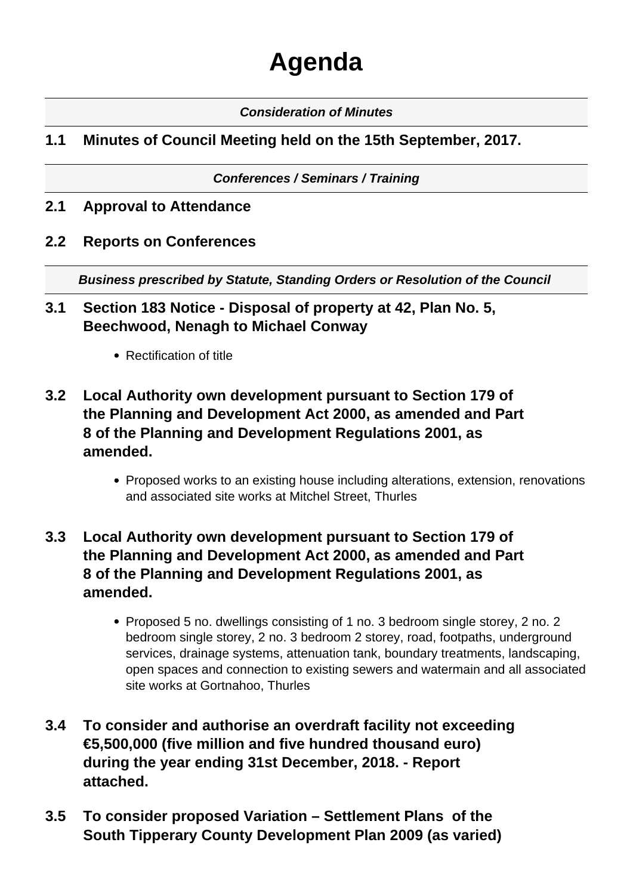# **Agenda**

#### **Consideration of Minutes**

## **1.1 Minutes of Council Meeting held on the 15th September, 2017.**

#### **Conferences / Seminars / Training**

- **2.1 Approval to Attendance**
- **2.2 Reports on Conferences**

**Business prescribed by Statute, Standing Orders or Resolution of the Council** 

#### **3.1 Section 183 Notice - Disposal of property at 42, Plan No. 5, Beechwood, Nenagh to Michael Conway**

- Rectification of title
- **3.2 Local Authority own development pursuant to Section 179 of the Planning and Development Act 2000, as amended and Part 8 of the Planning and Development Regulations 2001, as amended.**
	- Proposed works to an existing house including alterations, extension, renovations and associated site works at Mitchel Street, Thurles

# **3.3 Local Authority own development pursuant to Section 179 of the Planning and Development Act 2000, as amended and Part 8 of the Planning and Development Regulations 2001, as amended.**

- Proposed 5 no. dwellings consisting of 1 no. 3 bedroom single storey, 2 no. 2 bedroom single storey, 2 no. 3 bedroom 2 storey, road, footpaths, underground services, drainage systems, attenuation tank, boundary treatments, landscaping, open spaces and connection to existing sewers and watermain and all associated site works at Gortnahoo, Thurles
- **3.4 To consider and authorise an overdraft facility not exceeding €5,500,000 (five million and five hundred thousand euro) during the year ending 31st December, 2018. - Report attached.**
- **3.5 To consider proposed Variation Settlement Plans of the South Tipperary County Development Plan 2009 (as varied)**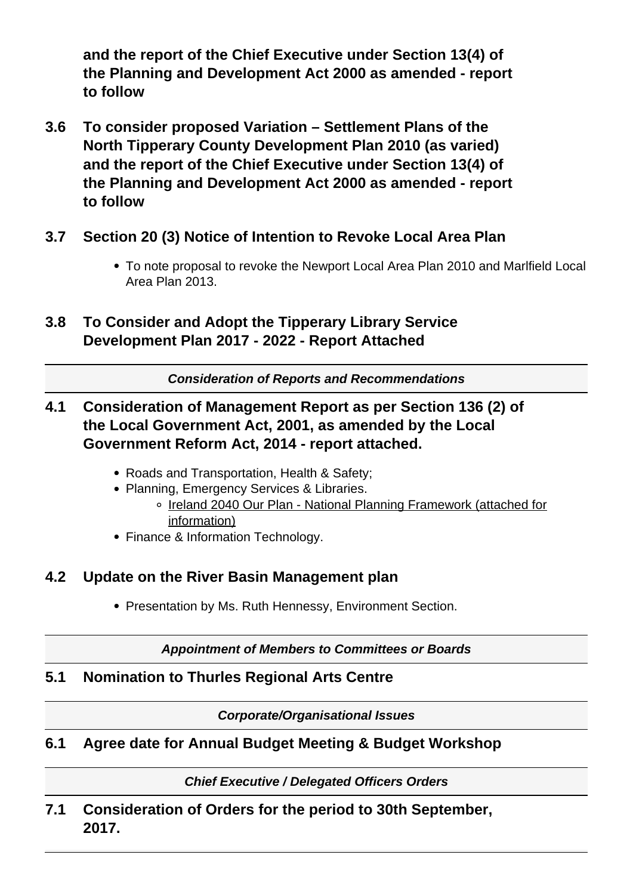**and the report of the Chief Executive under Section 13(4) of the Planning and Development Act 2000 as amended - report to follow**

- **3.6 To consider proposed Variation Settlement Plans of the North Tipperary County Development Plan 2010 (as varied) and the report of the Chief Executive under Section 13(4) of the Planning and Development Act 2000 as amended - report to follow**
- **3.7 Section 20 (3) Notice of Intention to Revoke Local Area Plan**
	- To note proposal to revoke the Newport Local Area Plan 2010 and Marlfield Local Area Plan 2013.
- **3.8 To Consider and Adopt the Tipperary Library Service Development Plan 2017 - 2022 - Report Attached**

**Consideration of Reports and Recommendations**

# **4.1 Consideration of Management Report as per Section 136 (2) of the Local Government Act, 2001, as amended by the Local Government Reform Act, 2014 - report attached.**

- Roads and Transportation, Health & Safety;
- Planning, Emergency Services & Libraries.
	- o Ireland 2040 Our Plan National Planning Framework (attached for information)
- Finance & Information Technology.

## **4.2 Update on the River Basin Management plan**

• Presentation by Ms. Ruth Hennessy, Environment Section.

#### **Appointment of Members to Committees or Boards**

# **5.1 Nomination to Thurles Regional Arts Centre**

**Corporate/Organisational Issues**

## **6.1 Agree date for Annual Budget Meeting & Budget Workshop**

**Chief Executive / Delegated Officers Orders**

**7.1 Consideration of Orders for the period to 30th September, 2017.**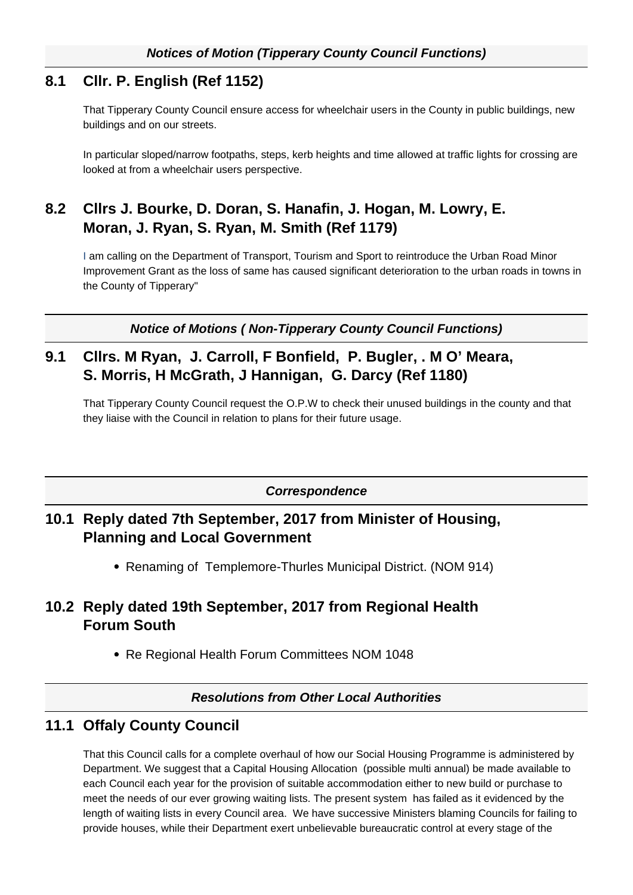#### **8.1 Cllr. P. English (Ref 1152)**

That Tipperary County Council ensure access for wheelchair users in the County in public buildings, new buildings and on our streets.

In particular sloped/narrow footpaths, steps, kerb heights and time allowed at traffic lights for crossing are looked at from a wheelchair users perspective.

# **8.2 Cllrs J. Bourke, D. Doran, S. Hanafin, J. Hogan, M. Lowry, E. Moran, J. Ryan, S. Ryan, M. Smith (Ref 1179)**

I am calling on the Department of Transport, Tourism and Sport to reintroduce the Urban Road Minor Improvement Grant as the loss of same has caused significant deterioration to the urban roads in towns in the County of Tipperary"

**Notice of Motions ( Non-Tipperary County Council Functions)**

#### **9.1 Cllrs. M Ryan, J. Carroll, F Bonfield, P. Bugler, . M O' Meara, S. Morris, H McGrath, J Hannigan, G. Darcy (Ref 1180)**

That Tipperary County Council request the O.P.W to check their unused buildings in the county and that they liaise with the Council in relation to plans for their future usage.

**Correspondence**

#### **10.1 Reply dated 7th September, 2017 from Minister of Housing, Planning and Local Government**

Renaming of Templemore-Thurles Municipal District. (NOM 914)

## **10.2 Reply dated 19th September, 2017 from Regional Health Forum South**

• Re Regional Health Forum Committees NOM 1048

#### **Resolutions from Other Local Authorities**

# **11.1 Offaly County Council**

That this Council calls for a complete overhaul of how our Social Housing Programme is administered by Department. We suggest that a Capital Housing Allocation (possible multi annual) be made available to each Council each year for the provision of suitable accommodation either to new build or purchase to meet the needs of our ever growing waiting lists. The present system has failed as it evidenced by the length of waiting lists in every Council area. We have successive Ministers blaming Councils for failing to provide houses, while their Department exert unbelievable bureaucratic control at every stage of the